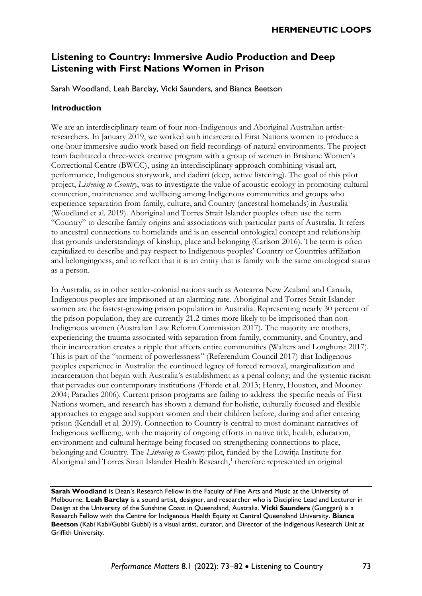# **Listening to Country: Immersive Audio Production and Deep Listening with First Nations Women in Prison**

Sarah Woodland, Leah Barclay, Vicki Saunders, and Bianca Beetson

#### **Introduction**

We are an interdisciplinary team of four non-Indigenous and Aboriginal Australian artistresearchers. In January 2019, we worked with incarcerated First Nations women to produce a one-hour immersive audio work based on field recordings of natural environments. The project team facilitated a three-week creative program with a group of women in Brisbane Women's Correctional Centre (BWCC), using an interdisciplinary approach combining visual art, performance, Indigenous storywork, and dadirri (deep, active listening). The goal of this pilot project, *Listening to Country*, was to investigate the value of acoustic ecology in promoting cultural connection, maintenance and wellbeing among Indigenous communities and groups who experience separation from family, culture, and Country (ancestral homelands) in Australia (Woodland et al. 2019). Aboriginal and Torres Strait Islander peoples often use the term "Country" to describe family origins and associations with particular parts of Australia. It refers to ancestral connections to homelands and is an essential ontological concept and relationship that grounds understandings of kinship, place and belonging (Carlson 2016). The term is often capitalized to describe and pay respect to Indigenous peoples' Country or Countries affiliation and belongingness, and to reflect that it is an entity that is family with the same ontological status as a person.

In Australia, as in other settler-colonial nations such as Aotearoa New Zealand and Canada, Indigenous peoples are imprisoned at an alarming rate. Aboriginal and Torres Strait Islander women are the fastest-growing prison population in Australia. Representing nearly 30 percent of the prison population, they are currently 21.2 times more likely to be imprisoned than non-Indigenous women (Australian Law Reform Commission 2017). The majority are mothers, experiencing the trauma associated with separation from family, community, and Country, and their incarceration creates a ripple that affects entire communities (Walters and Longhurst 2017). This is part of the "torment of powerlessness" (Referendum Council 2017) that Indigenous peoples experience in Australia: the continued legacy of forced removal, marginalization and incarceration that began with Australia's establishment as a penal colony; and the systemic racism that pervades our contemporary institutions (Fforde et al. 2013; Henry, Houston, and Mooney 2004; Paradies 2006). Current prison programs are failing to address the specific needs of First Nations women, and research has shown a demand for holistic, culturally focused and flexible approaches to engage and support women and their children before, during and after entering prison (Kendall et al. 2019). Connection to Country is central to most dominant narratives of Indigenous wellbeing, with the majority of ongoing efforts in native title, health, education, environment and cultural heritage being focused on strengthening connections to place, belonging and Country. The *Listening to Country* pilot, funded by the Lowitja Institute for Aboriginal and Torres Strait Islander Health Research,<sup>1</sup> therefore represented an original

**Sarah Woodland** is Dean's Research Fellow in the Faculty of Fine Arts and Music at the University of Melbourne. **Leah Barclay** is a sound artist, designer, and researcher who is Discipline Lead and Lecturer in Design at the University of the Sunshine Coast in Queensland, Australia. **Vicki Saunders** (Gunggari) is a Research Fellow with the Centre for Indigenous Health Equity at Central Queensland University. **Bianca Beetson** (Kabi Kabi/Gubbi Gubbi) is a visual artist, curator, and Director of the Indigenous Research Unit at Griffith University.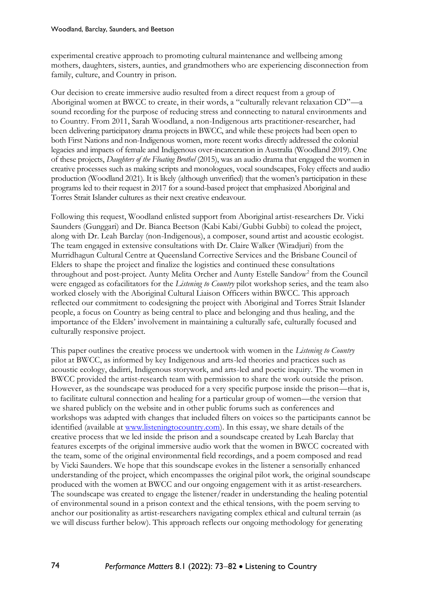experimental creative approach to promoting cultural maintenance and wellbeing among mothers, daughters, sisters, aunties, and grandmothers who are experiencing disconnection from family, culture, and Country in prison.

Our decision to create immersive audio resulted from a direct request from a group of Aboriginal women at BWCC to create, in their words, a "culturally relevant relaxation CD"—a sound recording for the purpose of reducing stress and connecting to natural environments and to Country. From 2011, Sarah Woodland, a non-Indigenous arts practitioner-researcher, had been delivering participatory drama projects in BWCC, and while these projects had been open to both First Nations and non-Indigenous women, more recent works directly addressed the colonial legacies and impacts of female and Indigenous over-incarceration in Australia (Woodland 2019). One of these projects, *Daughters of the Floating Brothel* (2015), was an audio drama that engaged the women in creative processes such as making scripts and monologues, vocal soundscapes, Foley effects and audio production (Woodland 2021). It is likely (although unverified) that the women's participation in these programs led to their request in 2017 for a sound-based project that emphasized Aboriginal and Torres Strait Islander cultures as their next creative endeavour.

Following this request, Woodland enlisted support from Aboriginal artist-researchers Dr. Vicki Saunders (Gunggari) and Dr. Bianca Beetson (Kabi Kabi/Gubbi Gubbi) to colead the project, along with Dr. Leah Barclay (non-Indigenous), a composer, sound artist and acoustic ecologist. The team engaged in extensive consultations with Dr. Claire Walker (Wiradjuri) from the Murridhagun Cultural Centre at Queensland Corrective Services and the Brisbane Council of Elders to shape the project and finalize the logistics and continued these consultations throughout and post-project. Aunty Melita Orcher and Aunty Estelle Sandow<sup>2</sup> from the Council were engaged as cofacilitators for the *Listening to Country* pilot workshop series, and the team also worked closely with the Aboriginal Cultural Liaison Officers within BWCC. This approach reflected our commitment to codesigning the project with Aboriginal and Torres Strait Islander people, a focus on Country as being central to place and belonging and thus healing, and the importance of the Elders' involvement in maintaining a culturally safe, culturally focused and culturally responsive project.

This paper outlines the creative process we undertook with women in the *Listening to Country* pilot at BWCC, as informed by key Indigenous and arts-led theories and practices such as acoustic ecology, dadirri, Indigenous storywork, and arts-led and poetic inquiry. The women in BWCC provided the artist-research team with permission to share the work outside the prison. However, as the soundscape was produced for a very specific purpose inside the prison—that is, to facilitate cultural connection and healing for a particular group of women—the version that we shared publicly on the website and in other public forums such as conferences and workshops was adapted with changes that included filters on voices so the participants cannot be identified (available at [www.listeningtocountry.com\)](http://www.listeningtocountry.com/). In this essay, we share details of the creative process that we led inside the prison and a soundscape created by Leah Barclay that features excerpts of the original immersive audio work that the women in BWCC cocreated with the team, some of the original environmental field recordings, and a poem composed and read by Vicki Saunders. We hope that this soundscape evokes in the listener a sensorially enhanced understanding of the project, which encompasses the original pilot work, the original soundscape produced with the women at BWCC and our ongoing engagement with it as artist-researchers. The soundscape was created to engage the listener/reader in understanding the healing potential of environmental sound in a prison context and the ethical tensions, with the poem serving to anchor our positionality as artist-researchers navigating complex ethical and cultural terrain (as we will discuss further below). This approach reflects our ongoing methodology for generating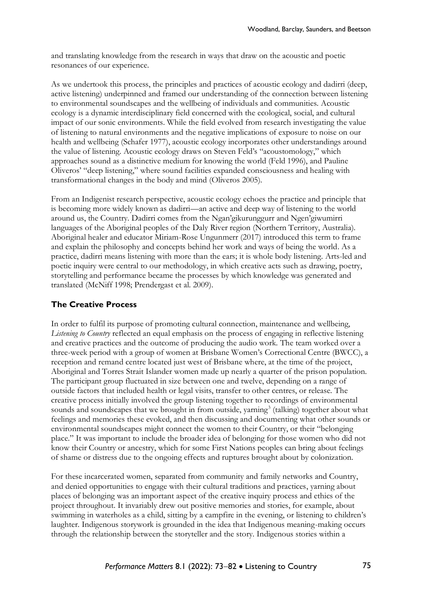and translating knowledge from the research in ways that draw on the acoustic and poetic resonances of our experience.

As we undertook this process, the principles and practices of acoustic ecology and dadirri (deep, active listening) underpinned and framed our understanding of the connection between listening to environmental soundscapes and the wellbeing of individuals and communities. Acoustic ecology is a dynamic interdisciplinary field concerned with the ecological, social, and cultural impact of our sonic environments. While the field evolved from research investigating the value of listening to natural environments and the negative implications of exposure to noise on our health and wellbeing (Schafer 1977), acoustic ecology incorporates other understandings around the value of listening. Acoustic ecology draws on Steven Feld's "acoustomology," which approaches sound as a distinctive medium for knowing the world (Feld 1996), and Pauline Oliveros' "deep listening," where sound facilities expanded consciousness and healing with transformational changes in the body and mind (Oliveros 2005).

From an Indigenist research perspective, acoustic ecology echoes the practice and principle that is becoming more widely known as dadirri—an active and deep way of listening to the world around us, the Country. Dadirri comes from the Ngan'gikurunggurr and Ngen'giwumirri languages of the Aboriginal peoples of the Daly River region (Northern Territory, Australia). Aboriginal healer and educator Miriam-Rose Ungunmerr (2017) introduced this term to frame and explain the philosophy and concepts behind her work and ways of being the world. As a practice, dadirri means listening with more than the ears; it is whole body listening. Arts-led and poetic inquiry were central to our methodology, in which creative acts such as drawing, poetry, storytelling and performance became the processes by which knowledge was generated and translated (McNiff 1998; Prendergast et al. 2009).

#### **The Creative Process**

In order to fulfil its purpose of promoting cultural connection, maintenance and wellbeing, *Listening to Country* reflected an equal emphasis on the process of engaging in reflective listening and creative practices and the outcome of producing the audio work. The team worked over a three-week period with a group of women at Brisbane Women's Correctional Centre (BWCC), a reception and remand centre located just west of Brisbane where, at the time of the project, Aboriginal and Torres Strait Islander women made up nearly a quarter of the prison population. The participant group fluctuated in size between one and twelve, depending on a range of outside factors that included health or legal visits, transfer to other centres, or release. The creative process initially involved the group listening together to recordings of environmental sounds and soundscapes that we brought in from outside, yarning<sup>3</sup> (talking) together about what feelings and memories these evoked, and then discussing and documenting what other sounds or environmental soundscapes might connect the women to their Country, or their "belonging place." It was important to include the broader idea of belonging for those women who did not know their Country or ancestry, which for some First Nations peoples can bring about feelings of shame or distress due to the ongoing effects and ruptures brought about by colonization.

For these incarcerated women, separated from community and family networks and Country, and denied opportunities to engage with their cultural traditions and practices, yarning about places of belonging was an important aspect of the creative inquiry process and ethics of the project throughout. It invariably drew out positive memories and stories, for example, about swimming in waterholes as a child, sitting by a campfire in the evening, or listening to children's laughter. Indigenous storywork is grounded in the idea that Indigenous meaning-making occurs through the relationship between the storyteller and the story. Indigenous stories within a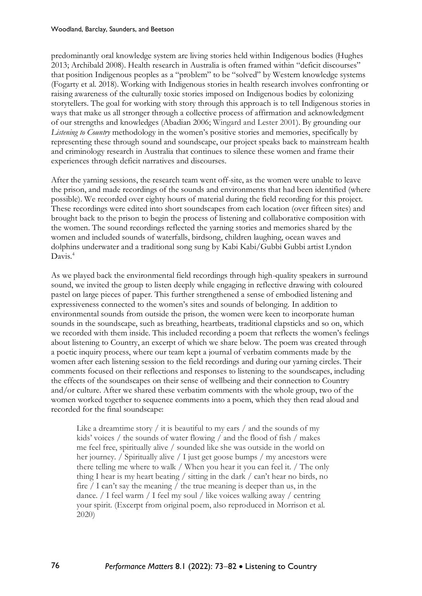predominantly oral knowledge system are living stories held within Indigenous bodies (Hughes 2013; Archibald 2008). Health research in Australia is often framed within "deficit discourses" that position Indigenous peoples as a "problem" to be "solved" by Western knowledge systems (Fogarty et al. 2018). Working with Indigenous stories in health research involves confronting or raising awareness of the culturally toxic stories imposed on Indigenous bodies by colonizing storytellers. The goal for working with story through this approach is to tell Indigenous stories in ways that make us all stronger through a collective process of affirmation and acknowledgment of our strengths and knowledges (Abadian 2006; Wingard and Lester 2001). By grounding our *Listening to Country* methodology in the women's positive stories and memories, specifically by representing these through sound and soundscape, our project speaks back to mainstream health and criminology research in Australia that continues to silence these women and frame their experiences through deficit narratives and discourses.

After the yarning sessions, the research team went off-site, as the women were unable to leave the prison, and made recordings of the sounds and environments that had been identified (where possible). We recorded over eighty hours of material during the field recording for this project. These recordings were edited into short soundscapes from each location (over fifteen sites) and brought back to the prison to begin the process of listening and collaborative composition with the women. The sound recordings reflected the yarning stories and memories shared by the women and included sounds of waterfalls, birdsong, children laughing, ocean waves and dolphins underwater and a traditional song sung by Kabi Kabi/Gubbi Gubbi artist Lyndon Davis.<sup>4</sup>

As we played back the environmental field recordings through high-quality speakers in surround sound, we invited the group to listen deeply while engaging in reflective drawing with coloured pastel on large pieces of paper. This further strengthened a sense of embodied listening and expressiveness connected to the women's sites and sounds of belonging. In addition to environmental sounds from outside the prison, the women were keen to incorporate human sounds in the soundscape, such as breathing, heartbeats, traditional clapsticks and so on, which we recorded with them inside. This included recording a poem that reflects the women's feelings about listening to Country, an excerpt of which we share below. The poem was created through a poetic inquiry process, where our team kept a journal of verbatim comments made by the women after each listening session to the field recordings and during our yarning circles. Their comments focused on their reflections and responses to listening to the soundscapes, including the effects of the soundscapes on their sense of wellbeing and their connection to Country and/or culture. After we shared these verbatim comments with the whole group, two of the women worked together to sequence comments into a poem, which they then read aloud and recorded for the final soundscape:

Like a dreamtime story / it is beautiful to my ears / and the sounds of my kids' voices / the sounds of water flowing / and the flood of fish / makes me feel free, spiritually alive / sounded like she was outside in the world on her journey. / Spiritually alive / I just get goose bumps / my ancestors were there telling me where to walk / When you hear it you can feel it. / The only thing I hear is my heart beating / sitting in the dark / can't hear no birds, no fire / I can't say the meaning / the true meaning is deeper than us, in the dance. / I feel warm / I feel my soul / like voices walking away / centring your spirit. (Excerpt from original poem, also reproduced in Morrison et al. 2020)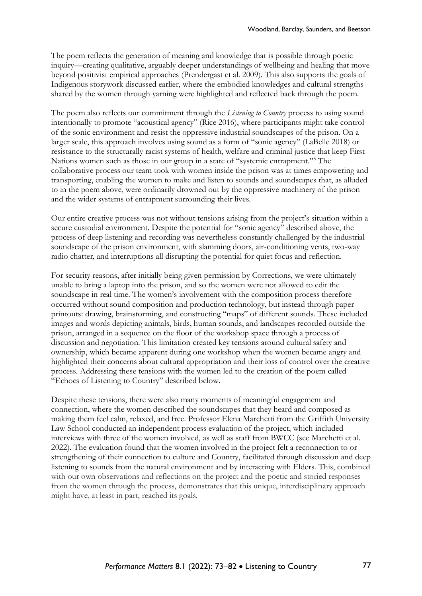The poem reflects the generation of meaning and knowledge that is possible through poetic inquiry—creating qualitative, arguably deeper understandings of wellbeing and healing that move beyond positivist empirical approaches (Prendergast et al. 2009). This also supports the goals of Indigenous storywork discussed earlier, where the embodied knowledges and cultural strengths shared by the women through yarning were highlighted and reflected back through the poem.

The poem also reflects our commitment through the *Listening to Country* process to using sound intentionally to promote "acoustical agency" (Rice 2016), where participants might take control of the sonic environment and resist the oppressive industrial soundscapes of the prison. On a larger scale, this approach involves using sound as a form of "sonic agency" (LaBelle 2018) or resistance to the structurally racist systems of health, welfare and criminal justice that keep First Nations women such as those in our group in a state of "systemic entrapment."<sup>5</sup> The collaborative process our team took with women inside the prison was at times empowering and transporting, enabling the women to make and listen to sounds and soundscapes that, as alluded to in the poem above, were ordinarily drowned out by the oppressive machinery of the prison and the wider systems of entrapment surrounding their lives.

Our entire creative process was not without tensions arising from the project's situation within a secure custodial environment. Despite the potential for "sonic agency" described above, the process of deep listening and recording was nevertheless constantly challenged by the industrial soundscape of the prison environment, with slamming doors, air-conditioning vents, two-way radio chatter, and interruptions all disrupting the potential for quiet focus and reflection.

For security reasons, after initially being given permission by Corrections, we were ultimately unable to bring a laptop into the prison, and so the women were not allowed to edit the soundscape in real time. The women's involvement with the composition process therefore occurred without sound composition and production technology, but instead through paper printouts: drawing, brainstorming, and constructing "maps" of different sounds. These included images and words depicting animals, birds, human sounds, and landscapes recorded outside the prison, arranged in a sequence on the floor of the workshop space through a process of discussion and negotiation. This limitation created key tensions around cultural safety and ownership, which became apparent during one workshop when the women became angry and highlighted their concerns about cultural appropriation and their loss of control over the creative process. Addressing these tensions with the women led to the creation of the poem called "Echoes of Listening to Country" described below.

Despite these tensions, there were also many moments of meaningful engagement and connection, where the women described the soundscapes that they heard and composed as making them feel calm, relaxed, and free. Professor Elena Marchetti from the Griffith University Law School conducted an independent process evaluation of the project, which included interviews with three of the women involved, as well as staff from BWCC (see Marchetti et al. 2022). The evaluation found that the women involved in the project felt a reconnection to or strengthening of their connection to culture and Country, facilitated through discussion and deep listening to sounds from the natural environment and by interacting with Elders. This, combined with our own observations and reflections on the project and the poetic and storied responses from the women through the process, demonstrates that this unique, interdisciplinary approach might have, at least in part, reached its goals.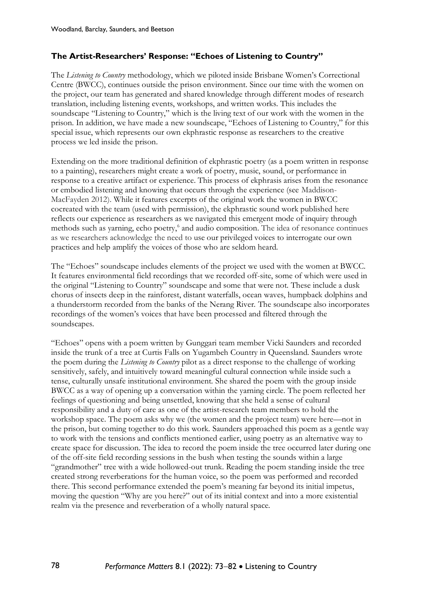#### **The Artist-Researchers' Response: "Echoes of Listening to Country"**

The *Listening to Country* methodology, which we piloted inside Brisbane Women's Correctional Centre (BWCC), continues outside the prison environment. Since our time with the women on the project, our team has generated and shared knowledge through different modes of research translation, including listening events, workshops, and written works. This includes the soundscape "Listening to Country," which is the living text of our work with the women in the prison. In addition, we have made a new soundscape, "Echoes of Listening to Country," for this special issue, which represents our own ekphrastic response as researchers to the creative process we led inside the prison.

Extending on the more traditional definition of ekphrastic poetry (as a poem written in response to a painting), researchers might create a work of poetry, music, sound, or performance in response to a creative artifact or experience. This process of ekphrasis arises from the resonance or embodied listening and knowing that occurs through the experience (see Maddison-MacFayden 2012). While it features excerpts of the original work the women in BWCC cocreated with the team (used with permission), the ekphrastic sound work published here reflects our experience as researchers as we navigated this emergent mode of inquiry through methods such as yarning, echo poetry,<sup>6</sup> and audio composition. The idea of resonance continues as we researchers acknowledge the need to use our privileged voices to interrogate our own practices and help amplify the voices of those who are seldom heard.

The "Echoes" soundscape includes elements of the project we used with the women at BWCC. It features environmental field recordings that we recorded off-site, some of which were used in the original "Listening to Country" soundscape and some that were not. These include a dusk chorus of insects deep in the rainforest, distant waterfalls, ocean waves, humpback dolphins and a thunderstorm recorded from the banks of the Nerang River. The soundscape also incorporates recordings of the women's voices that have been processed and filtered through the soundscapes.

"Echoes" opens with a poem written by Gunggari team member Vicki Saunders and recorded inside the trunk of a tree at Curtis Falls on Yugambeh Country in Queensland. Saunders wrote the poem during the *Listening to Country* pilot as a direct response to the challenge of working sensitively, safely, and intuitively toward meaningful cultural connection while inside such a tense, culturally unsafe institutional environment. She shared the poem with the group inside BWCC as a way of opening up a conversation within the yarning circle. The poem reflected her feelings of questioning and being unsettled, knowing that she held a sense of cultural responsibility and a duty of care as one of the artist-research team members to hold the workshop space. The poem asks why we (the women and the project team) were here—not in the prison, but coming together to do this work. Saunders approached this poem as a gentle way to work with the tensions and conflicts mentioned earlier, using poetry as an alternative way to create space for discussion. The idea to record the poem inside the tree occurred later during one of the off-site field recording sessions in the bush when testing the sounds within a large "grandmother" tree with a wide hollowed-out trunk. Reading the poem standing inside the tree created strong reverberations for the human voice, so the poem was performed and recorded there. This second performance extended the poem's meaning far beyond its initial impetus, moving the question "Why are you here?" out of its initial context and into a more existential realm via the presence and reverberation of a wholly natural space.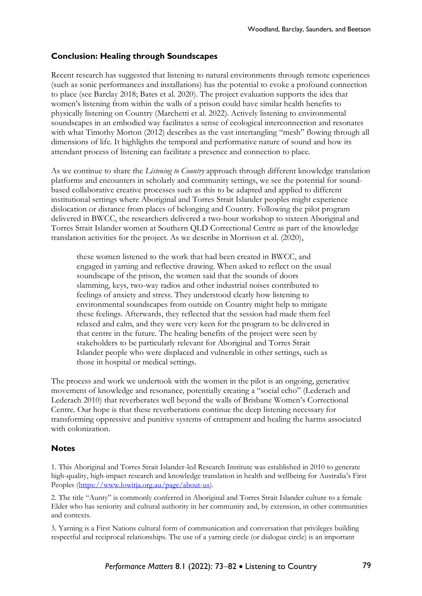#### **Conclusion: Healing through Soundscapes**

Recent research has suggested that listening to natural environments through remote experiences (such as sonic performances and installations) has the potential to evoke a profound connection to place (see Barclay 2018; Bates et al. 2020). The project evaluation supports the idea that women's listening from within the walls of a prison could have similar health benefits to physically listening on Country (Marchetti et al. 2022). Actively listening to environmental soundscapes in an embodied way facilitates a sense of ecological interconnection and resonates with what Timothy Morton (2012) describes as the vast intertangling "mesh" flowing through all dimensions of life. It highlights the temporal and performative nature of sound and how its attendant process of listening can facilitate a presence and connection to place.

As we continue to share the *Listening to Country* approach through different knowledge translation platforms and encounters in scholarly and community settings, we see the potential for soundbased collaborative creative processes such as this to be adapted and applied to different institutional settings where Aboriginal and Torres Strait Islander peoples might experience dislocation or distance from places of belonging and Country. Following the pilot program delivered in BWCC, the researchers delivered a two-hour workshop to sixteen Aboriginal and Torres Strait Islander women at Southern QLD Correctional Centre as part of the knowledge translation activities for the project. As we describe in Morrison et al. (2020),

these women listened to the work that had been created in BWCC, and engaged in yarning and reflective drawing. When asked to reflect on the usual soundscape of the prison, the women said that the sounds of doors slamming, keys, two-way radios and other industrial noises contributed to feelings of anxiety and stress. They understood clearly how listening to environmental soundscapes from outside on Country might help to mitigate these feelings. Afterwards, they reflected that the session had made them feel relaxed and calm, and they were very keen for the program to be delivered in that centre in the future. The healing benefits of the project were seen by stakeholders to be particularly relevant for Aboriginal and Torres Strait Islander people who were displaced and vulnerable in other settings, such as those in hospital or medical settings.

The process and work we undertook with the women in the pilot is an ongoing, generative movement of knowledge and resonance, potentially creating a "social echo" (Lederach and Lederach 2010) that reverberates well beyond the walls of Brisbane Women's Correctional Centre. Our hope is that these reverberations continue the deep listening necessary for transforming oppressive and punitive systems of entrapment and healing the harms associated with colonization.

#### **Notes**

1. This Aboriginal and Torres Strait Islander-led Research Institute was established in 2010 to generate high-quality, high-impact research and knowledge translation in health and wellbeing for Australia's First Peoples [\(https://www.lowitja.org.au/page/about-us\)](https://www.lowitja.org.au/page/about-us).

2. The title "Aunty" is commonly conferred in Aboriginal and Torres Strait Islander culture to a female Elder who has seniority and cultural authority in her community and, by extension, in other communities and contexts.

3. Yarning is a First Nations cultural form of communication and conversation that privileges building respectful and reciprocal relationships. The use of a yarning circle (or dialogue circle) is an important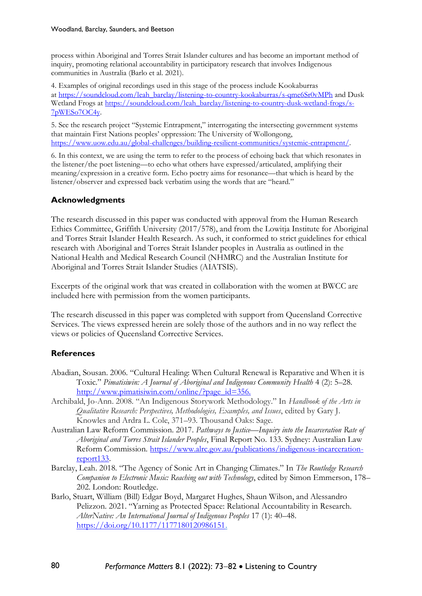process within Aboriginal and Torres Strait Islander cultures and has become an important method of inquiry, promoting relational accountability in participatory research that involves Indigenous communities in Australia (Barlo et al. 2021).

4. Examples of original recordings used in this stage of the process include Kookaburras at [https://soundcloud.com/leah\\_barclay/listening-to-country-kookaburras/s-qme6Sr0vMPh](https://protect-au.mimecast.com/s/BME0C6X1PysrMOXGVcpDy-O?domain=soundcloud.com) and Dusk Wetland Frogs at [https://soundcloud.com/leah\\_barclay/listening-to-country-dusk-wetland-frogs/s-](https://protect-au.mimecast.com/s/E-3fC71ZQzSAypLWEsWqsYD?domain=soundcloud.com)[7pWESo7OC4y.](https://protect-au.mimecast.com/s/E-3fC71ZQzSAypLWEsWqsYD?domain=soundcloud.com)

5. See the research project "Systemic Entrapment," interrogating the intersecting government systems that maintain First Nations peoples' oppression: The University of Wollongong, [https://www.uow.edu.au/global-challenges/building-resilient-communities/systemic-entrapment/.](https://www.uow.edu.au/global-challenges/building-resilient-communities/systemic-entrapment/)

6. In this context, we are using the term to refer to the process of echoing back that which resonates in the listener/the poet listening—to echo what others have expressed/articulated, amplifying their meaning/expression in a creative form. Echo poetry aims for resonance—that which is heard by the listener/observer and expressed back verbatim using the words that are "heard."

### **Acknowledgments**

The research discussed in this paper was conducted with approval from the Human Research Ethics Committee, Griffith University (2017/578), and from the Lowitja Institute for Aboriginal and Torres Strait Islander Health Research. As such, it conformed to strict guidelines for ethical research with Aboriginal and Torres Strait Islander peoples in Australia as outlined in the National Health and Medical Research Council (NHMRC) and the Australian Institute for Aboriginal and Torres Strait Islander Studies (AIATSIS).

Excerpts of the original work that was created in collaboration with the women at BWCC are included here with permission from the women participants.

The research discussed in this paper was completed with support from Queensland Corrective Services. The views expressed herein are solely those of the authors and in no way reflect the views or policies of Queensland Corrective Services.

## **References**

- Abadian, Sousan. 2006. "Cultural Healing: When Cultural Renewal is Reparative and When it is Toxic." *Pimatisiwin: A Journal of Aboriginal and Indigenous Community Health* 4 (2): 5–28. http://www.pimatisiwin.com/online/?page\_id=356.
- Archibald, Jo-Ann. 2008. "An Indigenous Storywork Methodology." In *Handbook of the Arts in Qualitative Research: Perspectives, Methodologies, Examples, and Issues*, edited by Gary J. Knowles and Ardra L. Cole, 371–93. Thousand Oaks: Sage.
- Australian Law Reform Commission. 2017. *Pathways to Justice—Inquiry into the Incarceration Rate of Aboriginal and Torres Strait Islander Peoples*, Final Report No. 133. Sydney: Australian Law Reform Commission. [https://www.alrc.gov.au/publications/indigenous-incarceration](https://www.alrc.gov.au/publications/indigenous-incarceration-report133)[report133.](https://www.alrc.gov.au/publications/indigenous-incarceration-report133)
- Barclay, Leah. 2018. "The Agency of Sonic Art in Changing Climates." In *The Routledge Research Companion to Electronic Music: Reaching out with Technology*, edited by Simon Emmerson, 178– 202. London: Routledge.
- Barlo, Stuart, William (Bill) Edgar Boyd, Margaret Hughes, Shaun Wilson, and Alessandro Pelizzon. 2021. "Yarning as Protected Space: Relational Accountability in Research. *AlterNative: An International Journal of Indigenous Peoples* 17 (1): 40–48. [https://doi.org/10.1177/1177180120986151.](https://doi.org/10.1177/1177180120986151)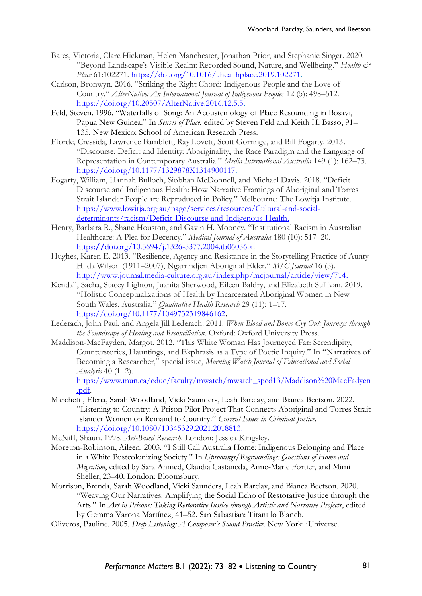- Bates, Victoria, Clare Hickman, Helen Manchester, Jonathan Prior, and Stephanie Singer. 2020. "Beyond Landscape's Visible Realm: Recorded Sound, Nature, and Wellbeing." *Health & Place* 61:102271. [https://doi.org/10.1016/j.healthplace.2019.102271.](https://doi.org/10.1016/j.healthplace.2019.102271)
- Carlson, Bronwyn. 2016. "Striking the Right Chord: Indigenous People and the Love of Country." *AlterNative: An International Journal of Indigenous Peoples* 12 (5): 498–512. [https://doi.org/10.20507/AlterNative.2016.12.5.5.](https://doi.org/10.20507/AlterNative.2016.12.5.5)
- Feld, Steven. 1996. "Waterfalls of Song: An Acoustemology of Place Resounding in Bosavi, Papua New Guinea." In *Senses of Place*, edited by Steven Feld and Keith H. Basso, 91– 135. New Mexico: School of American Research Press.
- Fforde, Cressida, Lawrence Bamblett, Ray Lovett, Scott Gorringe, and Bill Fogarty. 2013. "Discourse, Deficit and Identity: Aboriginality, the Race Paradigm and the Language of Representation in Contemporary Australia." *Media International Australia* 149 (1): 162–73. [https://doi.org/10.1177/1329878X1314900117.](https://doi.org/10.1177/1329878X1314900117)
- Fogarty, William, Hannah Bulloch, Siobhan McDonnell, and Michael Davis. 2018. "Deficit Discourse and Indigenous Health: How Narrative Framings of Aboriginal and Torres Strait Islander People are Reproduced in Policy." Melbourne: The Lowitja Institute. [https://www.lowitja.org.au/page/services/resources/Cultural-and-social](https://www.lowitja.org.au/page/services/resources/Cultural-and-social-determinants/racism/Deficit-Discourse-and-Indigenous-Health)[determinants/racism/Deficit-Discourse-and-Indigenous-Health.](https://www.lowitja.org.au/page/services/resources/Cultural-and-social-determinants/racism/Deficit-Discourse-and-Indigenous-Health)
- Henry, Barbara R., Shane Houston, and Gavin H. Mooney. "Institutional Racism in Australian Healthcare: A Plea for Decency." *Medical Journal of Australia* 180 (10): 517–20. https:**//**[doi.org/10.5694/j.1326-5377.2004.tb06056.x.](https://doi.org/10.5694/j.1326-5377.2004.tb06056.x)
- Hughes, Karen E. 2013. "Resilience, Agency and Resistance in the Storytelling Practice of Aunty Hilda Wilson (1911–2007), Ngarrindjeri Aboriginal Elder." *M/C Journal* 16 (5). [http://www.journal.media-culture.org.au/index.php/mcjournal/article/view/714.](http://www.journal.media-culture.org.au/index.php/mcjournal/article/view/714)
- Kendall, Sacha, Stacey Lighton, Juanita Sherwood, Eileen Baldry, and Elizabeth Sullivan. 2019. "Holistic Conceptualizations of Health by Incarcerated Aboriginal Women in New South Wales, Australia." *Qualitative Health Research* 29 (11): 1–17. [https://doi.org/10.1177/1049732319846162.](https://doi.org/10.1177/1049732319846162)
- Lederach, John Paul, and Angela Jill Lederach. 2011. *When Blood and Bones Cry Out: Journeys through the Soundscape of Healing and Reconciliation*. Oxford: Oxford University Press.
- Maddison-MacFayden, Margot. 2012. "This White Woman Has Journeyed Far: Serendipity, Counterstories, Hauntings, and Ekphrasis as a Type of Poetic Inquiry." In "Narratives of Becoming a Researcher," special issue, *Morning Watch Journal of Educational and Social Analysis* 40 (1–2).

[https://www.mun.ca/educ/faculty/mwatch/mwatch\\_sped13/Maddison%20MacFadyen](https://www.mun.ca/educ/faculty/mwatch/mwatch_sped13/Maddison%20MacFadyen.pdf) [.pdf.](https://www.mun.ca/educ/faculty/mwatch/mwatch_sped13/Maddison%20MacFadyen.pdf)

Marchetti, Elena, Sarah Woodland, Vicki Saunders, Leah Barclay, and Bianca Beetson. 2022. "Listening to Country: A Prison Pilot Project That Connects Aboriginal and Torres Strait Islander Women on Remand to Country." *Current Issues in Criminal Justice*. [https://doi.org/10.1080/10345329.2021.2018813.](https://doi.org/10.1080/10345329.2021.2018813)

McNiff, Shaun. 1998. *Art-Based Research*. London: Jessica Kingsley.

- Moreton-Robinson, Aileen. 2003. "I Still Call Australia Home: Indigenous Belonging and Place in a White Postcolonizing Society." In *Uprootings/Regroundings: Questions of Home and Migration*, edited by Sara Ahmed, Claudia Castaneda, Anne-Marie Fortier, and Mimi Sheller, 23–40. London: Bloomsbury.
- Morrison, Brenda, Sarah Woodland, Vicki Saunders, Leah Barclay, and Bianca Beetson. 2020. "Weaving Our Narratives: Amplifying the Social Echo of Restorative Justice through the Arts." In *Art in Prisons: Taking Restorative Justice through Artistic and Narrative Projects*, edited by Gemma Varona Martínez, 41–52. San Sabastian: Tirant lo Blanch.
- Oliveros, Pauline. 2005. *Deep Listening: A Composer's Sound Practice*. New York: iUniverse.